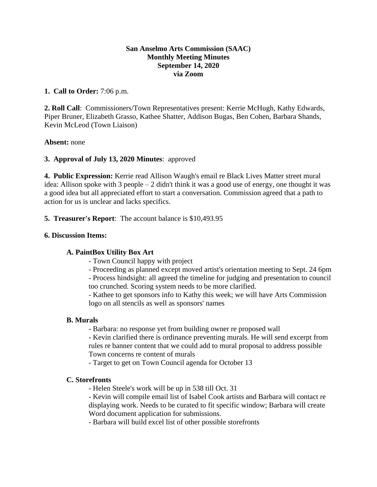## **San Anselmo Arts Commission (SAAC) Monthly Meeting Minutes September 14, 2020 via Zoom**

## **1. Call to Order:** 7:06 p.m.

**2. Roll Call**: Commissioners/Town Representatives present: Kerrie McHugh, Kathy Edwards, Piper Bruner, Elizabeth Grasso, Kathee Shatter, Addison Bugas, Ben Cohen, Barbara Shands, Kevin McLeod (Town Liaison)

#### **Absent:** none

# **3. Approval of July 13, 2020 Minutes**: approved

**4. Public Expression:** Kerrie read Allison Waugh's email re Black Lives Matter street mural idea: Allison spoke with 3 people – 2 didn't think it was a good use of energy, one thought it was a good idea but all appreciated effort to start a conversation. Commission agreed that a path to action for us is unclear and lacks specifics.

### **5. Treasurer's Report**: The account balance is \$10,493.95

### **6. Discussion Items:**

# **A. PaintBox Utility Box Art**

- Town Council happy with project
- Proceeding as planned except moved artist's orientation meeting to Sept. 24 6pm
- Process hindsight: all agreed the timeline for judging and presentation to council too crunched. Scoring system needs to be more clarified.

- Kathee to get sponsors info to Kathy this week; we will have Arts Commission logo on all stencils as well as sponsors' names

#### **B. Murals**

- Barbara: no response yet from building owner re proposed wall

- Kevin clarified there is ordinance preventing murals. He will send excerpt from rules re banner content that we could add to mural proposal to address possible Town concerns re content of murals

- Target to get on Town Council agenda for October 13

#### **C. Storefronts**

- Helen Steele's work will be up in 538 till Oct. 31

- Kevin will compile email list of Isabel Cook artists and Barbara will contact re displaying work. Needs to be curated to fit specific window; Barbara will create Word document application for submissions.

- Barbara will build excel list of other possible storefronts